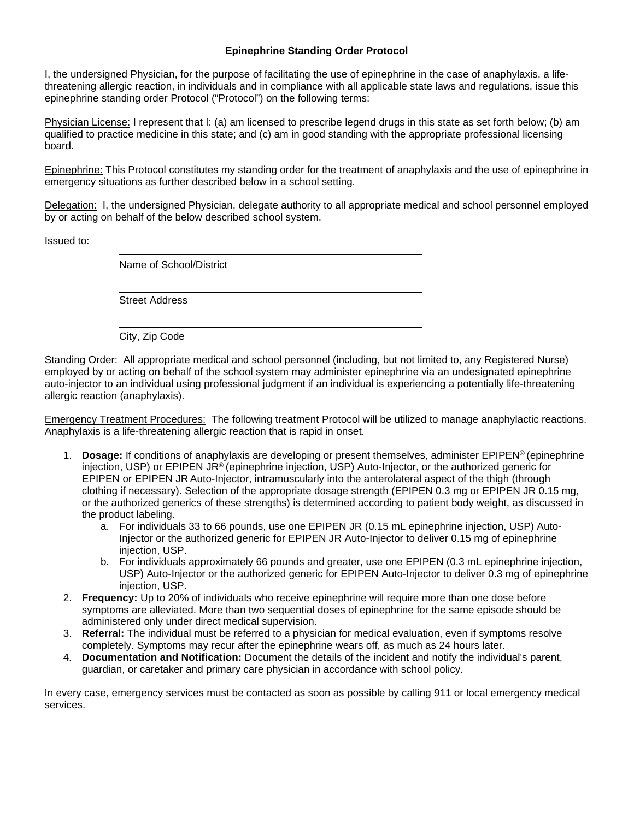## **Epinephrine Standing Order Protocol**

I, the undersigned Physician, for the purpose of facilitating the use of epinephrine in the case of anaphylaxis, a lifethreatening allergic reaction, in individuals and in compliance with all applicable state laws and regulations, issue this epinephrine standing order Protocol ("Protocol") on the following terms:

Physician License: I represent that I: (a) am licensed to prescribe legend drugs in this state as set forth below; (b) am qualified to practice medicine in this state; and (c) am in good standing with the appropriate professional licensing board.

Epinephrine: This Protocol constitutes my standing order for the treatment of anaphylaxis and the use of epinephrine in emergency situations as further described below in a school setting.

Delegation: I, the undersigned Physician, delegate authority to all appropriate medical and school personnel employed by or acting on behalf of the below described school system.

Issued to:

Name of School/District

Street Address

City, Zip Code

Standing Order: All appropriate medical and school personnel (including, but not limited to, any Registered Nurse) employed by or acting on behalf of the school system may administer epinephrine via an undesignated epinephrine auto-injector to an individual using professional judgment if an individual is experiencing a potentially life-threatening allergic reaction (anaphylaxis).

Emergency Treatment Procedures: The following treatment Protocol will be utilized to manage anaphylactic reactions. Anaphylaxis is a life-threatening allergic reaction that is rapid in onset.

- 1. **Dosage:** If conditions of anaphylaxis are developing or present themselves, administer EPIPEN® (epinephrine injection, USP) or EPIPEN JR® (epinephrine injection, USP) Auto-Injector, or the authorized generic for EPIPEN or EPIPEN JR Auto-Injector, intramuscularly into the anterolateral aspect of the thigh (through clothing if necessary). Selection of the appropriate dosage strength (EPIPEN 0.3 mg or EPIPEN JR 0.15 mg, or the authorized generics of these strengths) is determined according to patient body weight, as discussed in the product labeling.
	- a. For individuals 33 to 66 pounds, use one EPIPEN JR (0.15 mL epinephrine injection, USP) Auto-Injector or the authorized generic for EPIPEN JR Auto-Injector to deliver 0.15 mg of epinephrine injection, USP.
	- b. For individuals approximately 66 pounds and greater, use one EPIPEN (0.3 mL epinephrine injection, USP) Auto-Injector or the authorized generic for EPIPEN Auto-Injector to deliver 0.3 mg of epinephrine injection, USP.
- 2. **Frequency:** Up to 20% of individuals who receive epinephrine will require more than one dose before symptoms are alleviated. More than two sequential doses of epinephrine for the same episode should be administered only under direct medical supervision.
- 3. **Referral:** The individual must be referred to a physician for medical evaluation, even if symptoms resolve completely. Symptoms may recur after the epinephrine wears off, as much as 24 hours later.
- 4. **Documentation and Notification:** Document the details of the incident and notify the individual's parent, guardian, or caretaker and primary care physician in accordance with school policy.

In every case, emergency services must be contacted as soon as possible by calling 911 or local emergency medical services.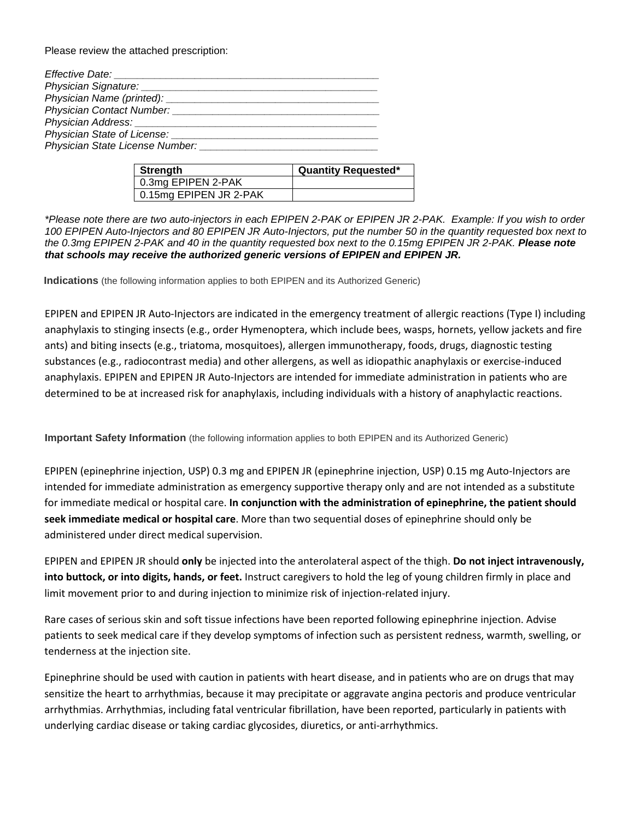Please review the attached prescription:

| <b>Strength</b>        | <b>Quantity Requested*</b> |
|------------------------|----------------------------|
| 0.3mg EPIPEN 2-PAK     |                            |
| 0.15mg EPIPEN JR 2-PAK |                            |

*\*Please note there are two auto-injectors in each EPIPEN 2-PAK or EPIPEN JR 2-PAK. Example: If you wish to order 100 EPIPEN Auto-Injectors and 80 EPIPEN JR Auto-Injectors, put the number 50 in the quantity requested box next to the 0.3mg EPIPEN 2-PAK and 40 in the quantity requested box next to the 0.15mg EPIPEN JR 2-PAK. Please note that schools may receive the authorized generic versions of EPIPEN and EPIPEN JR.*

**Indications** (the following information applies to both EPIPEN and its Authorized Generic)

EPIPEN and EPIPEN JR Auto-Injectors are indicated in the emergency treatment of allergic reactions (Type I) including anaphylaxis to stinging insects (e.g., order Hymenoptera, which include bees, wasps, hornets, yellow jackets and fire ants) and biting insects (e.g., triatoma, mosquitoes), allergen immunotherapy, foods, drugs, diagnostic testing substances (e.g., radiocontrast media) and other allergens, as well as idiopathic anaphylaxis or exercise-induced anaphylaxis. EPIPEN and EPIPEN JR Auto-Injectors are intended for immediate administration in patients who are determined to be at increased risk for anaphylaxis, including individuals with a history of anaphylactic reactions.

**Important Safety Information** (the following information applies to both EPIPEN and its Authorized Generic)

EPIPEN (epinephrine injection, USP) 0.3 mg and EPIPEN JR (epinephrine injection, USP) 0.15 mg Auto-Injectors are intended for immediate administration as emergency supportive therapy only and are not intended as a substitute for immediate medical or hospital care. **In conjunction with the administration of epinephrine, the patient should seek immediate medical or hospital care**. More than two sequential doses of epinephrine should only be administered under direct medical supervision.

EPIPEN and EPIPEN JR should **only** be injected into the anterolateral aspect of the thigh. **Do not inject intravenously, into buttock, or into digits, hands, or feet.** Instruct caregivers to hold the leg of young children firmly in place and limit movement prior to and during injection to minimize risk of injection-related injury.

Rare cases of serious skin and soft tissue infections have been reported following epinephrine injection. Advise patients to seek medical care if they develop symptoms of infection such as persistent redness, warmth, swelling, or tenderness at the injection site.

Epinephrine should be used with caution in patients with heart disease, and in patients who are on drugs that may sensitize the heart to arrhythmias, because it may precipitate or aggravate angina pectoris and produce ventricular arrhythmias. Arrhythmias, including fatal ventricular fibrillation, have been reported, particularly in patients with underlying cardiac disease or taking cardiac glycosides, diuretics, or anti-arrhythmics.